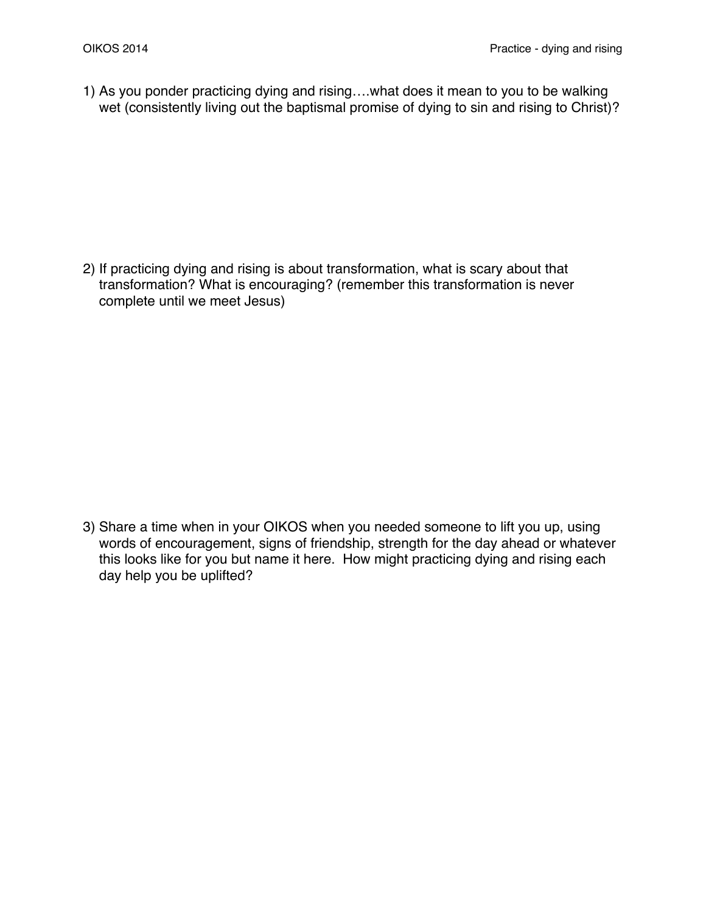1) As you ponder practicing dying and rising….what does it mean to you to be walking wet (consistently living out the baptismal promise of dying to sin and rising to Christ)?

2) If practicing dying and rising is about transformation, what is scary about that transformation? What is encouraging? (remember this transformation is never complete until we meet Jesus)

3) Share a time when in your OIKOS when you needed someone to lift you up, using words of encouragement, signs of friendship, strength for the day ahead or whatever this looks like for you but name it here. How might practicing dying and rising each day help you be uplifted?